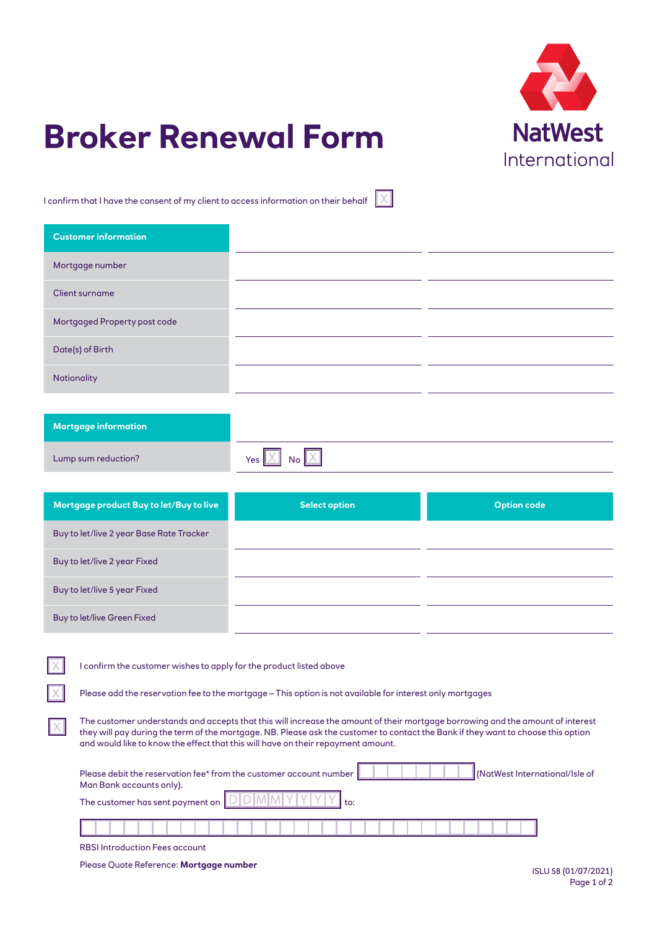

## **Broker Renewal Form**

I confirm that I have the consent of my client to access information on their behalf

| <b>Customer information</b>  |            |
|------------------------------|------------|
| Mortgage number              |            |
| <b>Client surname</b>        |            |
| Mortgaged Property post code |            |
| Date(s) of Birth             |            |
| Nationality                  |            |
|                              |            |
| <b>Mortgage information</b>  |            |
| Lump sum reduction?          | Yes<br>No. |
|                              |            |

 $\overline{X}$ 

| Mortgage product Buy to let/Buy to live  | <b>Select option</b> | <b>Option code</b> |
|------------------------------------------|----------------------|--------------------|
| Buy to let/live 2 year Base Rate Tracker |                      |                    |
| Buy to let/live 2 year Fixed             |                      |                    |
| Buy to let/live 5 year Fixed             |                      |                    |
| Buy to let/live Green Fixed              |                      |                    |

I confirm the customer wishes to apply for the product listed above

Please add the reservation fee to the mortgage – This option is not available for interest only mortgages

The customer understands and accepts that this will increase the amount of their mortgage borrowing and the amount of interest they will pay during the term of the mortgage. NB. Please ask the customer to contact the Bank if they want to choose this option and would like to know the effect that this will have on their repayment amount.

| Please debit the reservation fee* from the customer account number<br>Man Bank accounts only). | (NatWest International/Isle of |  |  |
|------------------------------------------------------------------------------------------------|--------------------------------|--|--|
| The customer has sent payment on $\sqrt{D D M M }$                                             |                                |  |  |
|                                                                                                |                                |  |  |

RBSI Introduction Fees account

Please Quote Reference: **Mortgage number**